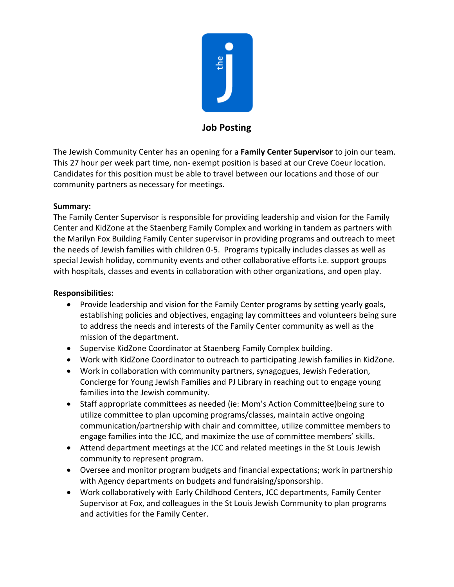

## **Job Posting**

The Jewish Community Center has an opening for a **Family Center Supervisor** to join our team. This 27 hour per week part time, non- exempt position is based at our Creve Coeur location. Candidates for this position must be able to travel between our locations and those of our community partners as necessary for meetings.

## **Summary:**

The Family Center Supervisor is responsible for providing leadership and vision for the Family Center and KidZone at the Staenberg Family Complex and working in tandem as partners with the Marilyn Fox Building Family Center supervisor in providing programs and outreach to meet the needs of Jewish families with children 0-5. Programs typically includes classes as well as special Jewish holiday, community events and other collaborative efforts i.e. support groups with hospitals, classes and events in collaboration with other organizations, and open play.

## **Responsibilities:**

- Provide leadership and vision for the Family Center programs by setting yearly goals, establishing policies and objectives, engaging lay committees and volunteers being sure to address the needs and interests of the Family Center community as well as the mission of the department.
- Supervise KidZone Coordinator at Staenberg Family Complex building.
- Work with KidZone Coordinator to outreach to participating Jewish families in KidZone.
- Work in collaboration with community partners, synagogues, Jewish Federation, Concierge for Young Jewish Families and PJ Library in reaching out to engage young families into the Jewish community.
- Staff appropriate committees as needed (ie: Mom's Action Committee)being sure to utilize committee to plan upcoming programs/classes, maintain active ongoing communication/partnership with chair and committee, utilize committee members to engage families into the JCC, and maximize the use of committee members' skills.
- Attend department meetings at the JCC and related meetings in the St Louis Jewish community to represent program.
- Oversee and monitor program budgets and financial expectations; work in partnership with Agency departments on budgets and fundraising/sponsorship.
- Work collaboratively with Early Childhood Centers, JCC departments, Family Center Supervisor at Fox, and colleagues in the St Louis Jewish Community to plan programs and activities for the Family Center.